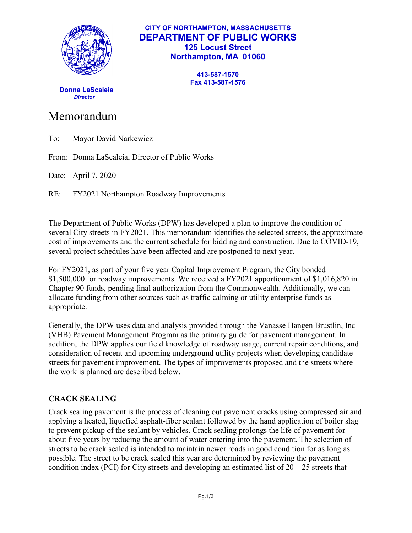

### **CITY OF NORTHAMPTON, MASSACHUSETTS DEPARTMENT OF PUBLIC WORKS 125 Locust Street Northampton, MA 01060**

**413-587-1570 Fax 413-587-1576**

 **Donna LaScaleia** *Director*

# Memorandum

| To: |  |  | Mayor David Narkewicz |
|-----|--|--|-----------------------|
|-----|--|--|-----------------------|

From: Donna LaScaleia, Director of Public Works

Date: April 7, 2020

RE: FY2021 Northampton Roadway Improvements

The Department of Public Works (DPW) has developed a plan to improve the condition of several City streets in FY2021. This memorandum identifies the selected streets, the approximate cost of improvements and the current schedule for bidding and construction. Due to COVID-19, several project schedules have been affected and are postponed to next year.

For FY2021, as part of your five year Capital Improvement Program, the City bonded \$1,500,000 for roadway improvements. We received a FY2021 apportionment of \$1,016,820 in Chapter 90 funds, pending final authorization from the Commonwealth. Additionally, we can allocate funding from other sources such as traffic calming or utility enterprise funds as appropriate.

Generally, the DPW uses data and analysis provided through the Vanasse Hangen Brustlin, Inc (VHB) Pavement Management Program as the primary guide for pavement management. In addition, the DPW applies our field knowledge of roadway usage, current repair conditions, and consideration of recent and upcoming underground utility projects when developing candidate streets for pavement improvement. The types of improvements proposed and the streets where the work is planned are described below.

## **CRACK SEALING**

Crack sealing pavement is the process of cleaning out pavement cracks using compressed air and applying a heated, liquefied asphalt-fiber sealant followed by the hand application of boiler slag to prevent pickup of the sealant by vehicles. Crack sealing prolongs the life of pavement for about five years by reducing the amount of water entering into the pavement. The selection of streets to be crack sealed is intended to maintain newer roads in good condition for as long as possible. The street to be crack sealed this year are determined by reviewing the pavement condition index (PCI) for City streets and developing an estimated list of  $20 - 25$  streets that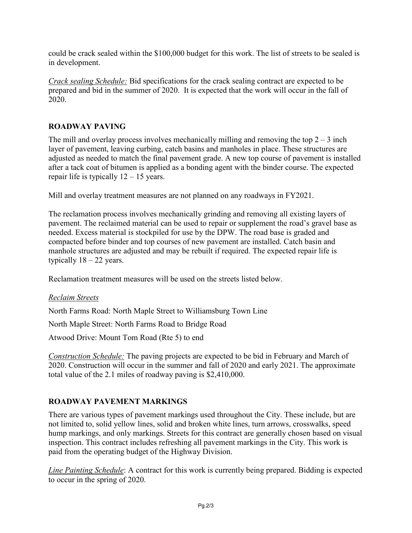could be crack sealed within the \$100,000 budget for this work. The list of streets to be sealed is in development.

*Crack sealing Schedule:* Bid specifications for the crack sealing contract are expected to be prepared and bid in the summer of 2020. It is expected that the work will occur in the fall of 2020.

## **ROADWAY PAVING**

The mill and overlay process involves mechanically milling and removing the top  $2 - 3$  inch layer of pavement, leaving curbing, catch basins and manholes in place. These structures are adjusted as needed to match the final pavement grade. A new top course of pavement is installed after a tack coat of bitumen is applied as a bonding agent with the binder course. The expected repair life is typically  $12 - 15$  years.

Mill and overlay treatment measures are not planned on any roadways in FY2021.

The reclamation process involves mechanically grinding and removing all existing layers of pavement. The reclaimed material can be used to repair or supplement the road's gravel base as needed. Excess material is stockpiled for use by the DPW. The road base is graded and compacted before binder and top courses of new pavement are installed. Catch basin and manhole structures are adjusted and may be rebuilt if required. The expected repair life is typically  $18 - 22$  years.

Reclamation treatment measures will be used on the streets listed below.

#### *Reclaim Streets*

North Farms Road: North Maple Street to Williamsburg Town Line

North Maple Street: North Farms Road to Bridge Road

Atwood Drive: Mount Tom Road (Rte 5) to end

*Construction Schedule:* The paving projects are expected to be bid in February and March of 2020. Construction will occur in the summer and fall of 2020 and early 2021. The approximate total value of the 2.1 miles of roadway paving is \$2,410,000.

#### **ROADWAY PAVEMENT MARKINGS**

There are various types of pavement markings used throughout the City. These include, but are not limited to, solid yellow lines, solid and broken white lines, turn arrows, crosswalks, speed hump markings, and only markings. Streets for this contract are generally chosen based on visual inspection. This contract includes refreshing all pavement markings in the City. This work is paid from the operating budget of the Highway Division.

*Line Painting Schedule*: A contract for this work is currently being prepared. Bidding is expected to occur in the spring of 2020.